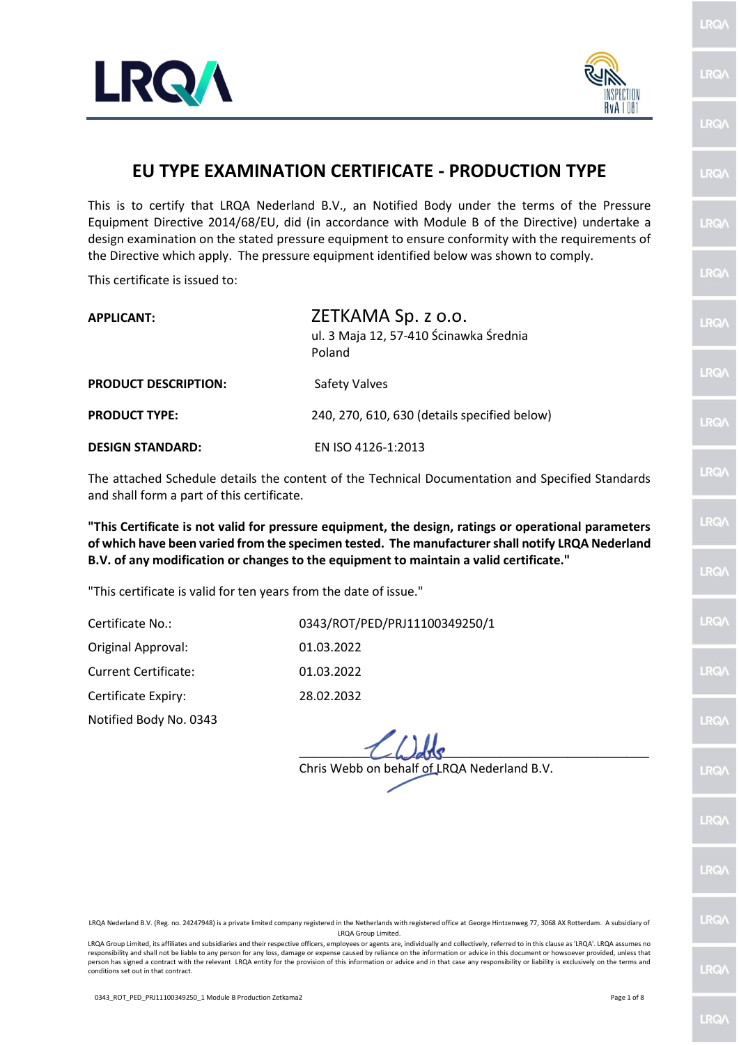



LRQ/

LRQ/

|                                                                                                                                                                                                                                                                                                      | EU TYPE EXAMINATION CERTIFICATE - PRODUCTION TYPE                                                                                                                                                            | <b>LRQA</b> |  |  |  |  |  |  |
|------------------------------------------------------------------------------------------------------------------------------------------------------------------------------------------------------------------------------------------------------------------------------------------------------|--------------------------------------------------------------------------------------------------------------------------------------------------------------------------------------------------------------|-------------|--|--|--|--|--|--|
| This is to certify that LRQA Nederland B.V., an Notified Body under the terms of the Pressure<br>Equipment Directive 2014/68/EU, did (in accordance with Module B of the Directive) undertake a<br>design examination on the stated pressure equipment to ensure conformity with the requirements of |                                                                                                                                                                                                              |             |  |  |  |  |  |  |
| the Directive which apply. The pressure equipment identified below was shown to comply.<br>This certificate is issued to:                                                                                                                                                                            |                                                                                                                                                                                                              |             |  |  |  |  |  |  |
|                                                                                                                                                                                                                                                                                                      |                                                                                                                                                                                                              |             |  |  |  |  |  |  |
| <b>APPLICANT:</b>                                                                                                                                                                                                                                                                                    | ZETKAMA Sp. z o.o.<br>ul. 3 Maja 12, 57-410 Ścinawka Średnia<br>Poland                                                                                                                                       | <b>LRQA</b> |  |  |  |  |  |  |
| <b>PRODUCT DESCRIPTION:</b>                                                                                                                                                                                                                                                                          | <b>Safety Valves</b>                                                                                                                                                                                         | <b>LRQA</b> |  |  |  |  |  |  |
| <b>PRODUCT TYPE:</b>                                                                                                                                                                                                                                                                                 | 240, 270, 610, 630 (details specified below)                                                                                                                                                                 | <b>LRQA</b> |  |  |  |  |  |  |
| <b>DESIGN STANDARD:</b>                                                                                                                                                                                                                                                                              | EN ISO 4126-1:2013                                                                                                                                                                                           |             |  |  |  |  |  |  |
| LRQ/\<br>The attached Schedule details the content of the Technical Documentation and Specified Standards<br>and shall form a part of this certificate.                                                                                                                                              |                                                                                                                                                                                                              |             |  |  |  |  |  |  |
| "This Certificate is not valid for pressure equipment, the design, ratings or operational parameters                                                                                                                                                                                                 |                                                                                                                                                                                                              |             |  |  |  |  |  |  |
|                                                                                                                                                                                                                                                                                                      | of which have been varied from the specimen tested. The manufacturer shall notify LRQA Nederland<br>B.V. of any modification or changes to the equipment to maintain a valid certificate."                   |             |  |  |  |  |  |  |
| "This certificate is valid for ten years from the date of issue."                                                                                                                                                                                                                                    |                                                                                                                                                                                                              | <b>LRQA</b> |  |  |  |  |  |  |
| Certificate No.:                                                                                                                                                                                                                                                                                     | 0343/ROT/PED/PRJ11100349250/1                                                                                                                                                                                | LRQ/\       |  |  |  |  |  |  |
| Original Approval:                                                                                                                                                                                                                                                                                   | 01.03.2022                                                                                                                                                                                                   |             |  |  |  |  |  |  |
| <b>Current Certificate:</b>                                                                                                                                                                                                                                                                          | 01.03.2022                                                                                                                                                                                                   | LRQ/        |  |  |  |  |  |  |
| Certificate Expiry:                                                                                                                                                                                                                                                                                  | 28.02.2032                                                                                                                                                                                                   |             |  |  |  |  |  |  |
| Notified Body No. 0343                                                                                                                                                                                                                                                                               |                                                                                                                                                                                                              | <b>LRQA</b> |  |  |  |  |  |  |
|                                                                                                                                                                                                                                                                                                      | Chris Webb on behalf of LRQA Nederland B.V.                                                                                                                                                                  | LRQ/        |  |  |  |  |  |  |
|                                                                                                                                                                                                                                                                                                      |                                                                                                                                                                                                              |             |  |  |  |  |  |  |
|                                                                                                                                                                                                                                                                                                      |                                                                                                                                                                                                              | LRQ/        |  |  |  |  |  |  |
|                                                                                                                                                                                                                                                                                                      |                                                                                                                                                                                                              | LRQ/        |  |  |  |  |  |  |
|                                                                                                                                                                                                                                                                                                      | LRQA Nederland B.V. (Reg. no. 24247948) is a private limited company registered in the Netherlands with registered office at George Hintzenweg 77, 3068 AX Rotterdam. A subsidiary of<br>LRQA Group Limited. | <b>LRQA</b> |  |  |  |  |  |  |

LRQA Group Limited, its affiliates and subsidiaries and their respective officers, employees or agents are, individually and collectively, referred to in this clause as 'LRQA'. LRQA assumes no responsibility and shall not be liable to any person for any loss, damage or expense caused by reliance on the information or advice in this document or howsoever provided, unless that<br>person has signed a contract with the conditions set out in that contract.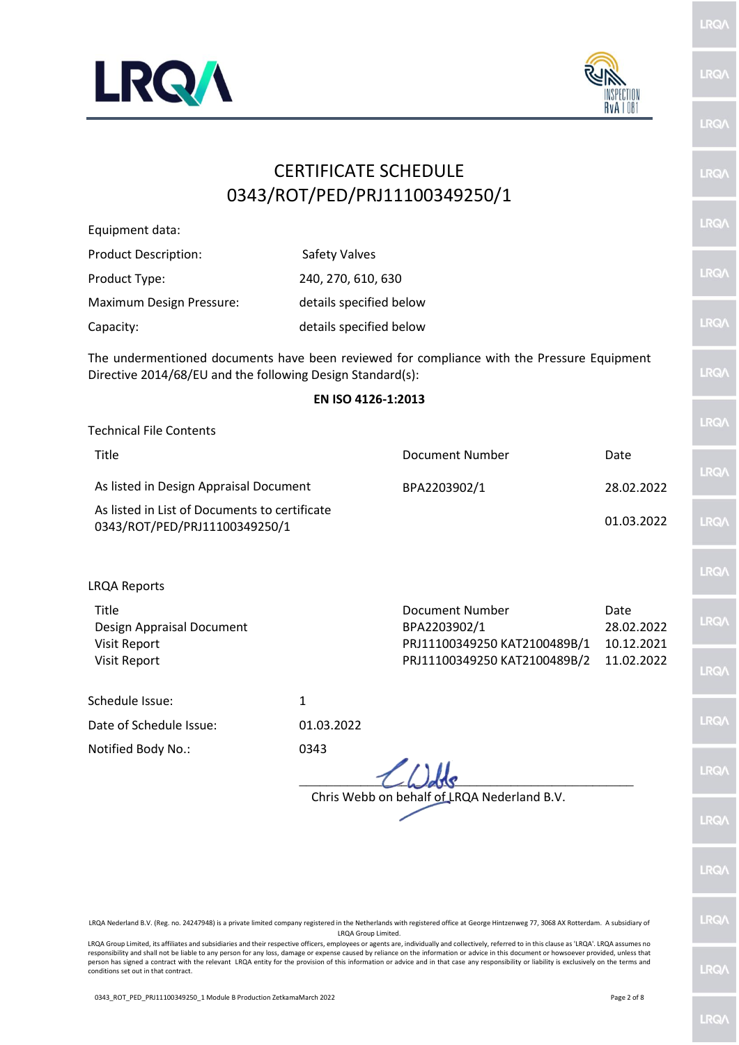



## **LRO** CERTIFICATE SCHEDULE **LRQ** 0343/ROT/PED/PRJ11100349250/1 LRQ Equipment data: Product Description: Safety Valves LRQ/ Product Type: 240, 270, 610, 630 Maximum Design Pressure: details specified below LRQ/ Capacity: details specified below The undermentioned documents have been reviewed for compliance with the Pressure Equipment **LRQ** Directive 2014/68/EU and the following Design Standard(s): **EN ISO 4126-1:2013** LRQ/ Technical File Contents Title Document Number Date **IRQ** As listed in Design Appraisal Document BPA2203902/1 28.02.2022 As listed in List of Documents to certificate 01.03.2022 **LRQ** 0343/ROT/PED/PRJ11100349250/1 **IRQ** LRQA Reports Title Document Number Date Design Appraisal Document BPA2203902/1 28.02.2022 Visit Report PRJ11100349250 KAT2100489B/1 10.12.2021 Visit Report PRJ11100349250 KAT2100489B/2 11.02.2022 LRQ/ Schedule Issue: 1 LRQ/ Date of Schedule Issue: 01.03.2022 Notified Body No.: 0343 LRQ/  $\frac{1}{2}$   $\frac{1}{2}$   $\frac{1}{2}$   $\frac{1}{2}$   $\frac{1}{2}$   $\frac{1}{2}$   $\frac{1}{2}$   $\frac{1}{2}$   $\frac{1}{2}$   $\frac{1}{2}$   $\frac{1}{2}$   $\frac{1}{2}$   $\frac{1}{2}$   $\frac{1}{2}$   $\frac{1}{2}$   $\frac{1}{2}$   $\frac{1}{2}$   $\frac{1}{2}$   $\frac{1}{2}$   $\frac{1}{2}$   $\frac{1}{2}$   $\frac{1}{2}$  Chris Webb on behalf of LRQA Nederland B.V.**RO LRO**

LRQA Nederland B.V. (Reg. no. 24247948) is a private limited company registered in the Netherlands with registered office at George Hintzenweg 77, 3068 AX Rotterdam. A subsidiary of LRQA Group Limited.

LRQA Group Limited, its affiliates and subsidiaries and their respective officers, employees or agents are, individually and collectively, referred to in this clause as 'LRQA'. LRQA assumes no responsibility and shall not be liable to any person for any loss, damage or expense caused by reliance on the information or advice in this document or howsoever provided, unless that person has signed a contract with the relevant LRQA entity for the provision of this information or advice and in that case any responsibility or liability is exclusively on the terms and conditions set out in that contract.

LRQ/

**IRQ** 

LRQ/

 $RQ/$ 

LRQ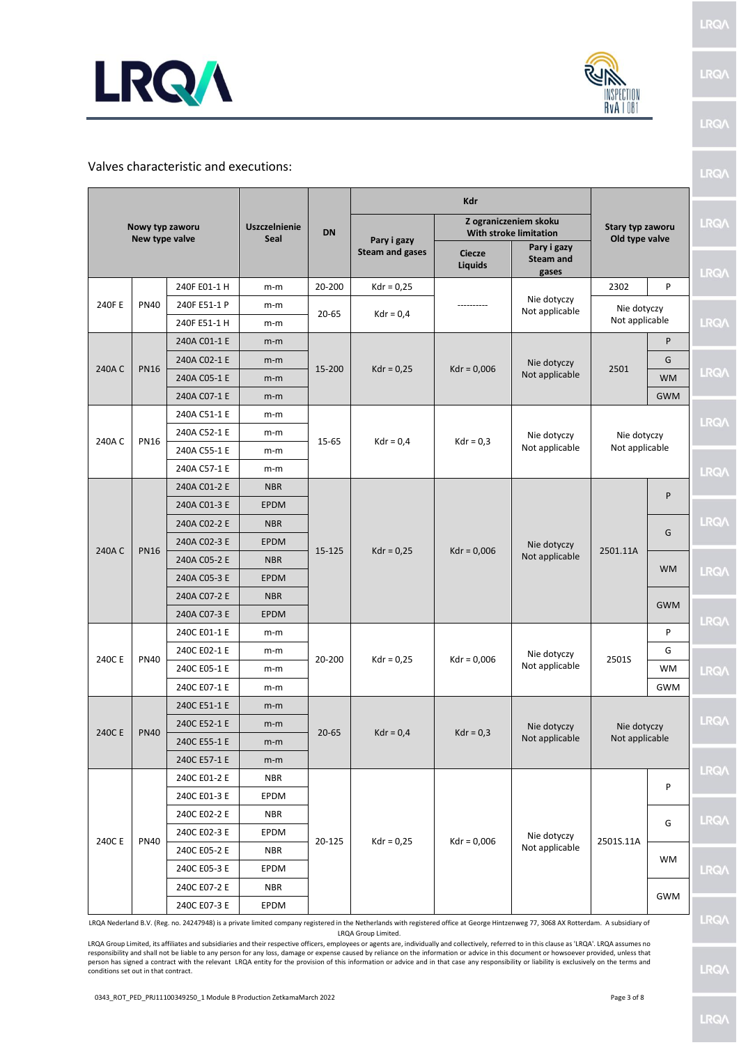



## Valves characteristic and executions:

| Nowy typ zaworu<br>New type valve |             |                                     | <b>DN</b>   |                        |                                                        |                                          |                               |                |             |             |  |  |  |  |  |  |  |  |  |  |  |  |  |
|-----------------------------------|-------------|-------------------------------------|-------------|------------------------|--------------------------------------------------------|------------------------------------------|-------------------------------|----------------|-------------|-------------|--|--|--|--|--|--|--|--|--|--|--|--|--|
|                                   |             | <b>Uszczelnienie</b><br><b>Seal</b> |             | Pary i gazy            | Z ograniczeniem skoku<br><b>With stroke limitation</b> | Stary typ zaworu<br>Old type valve       |                               | LRQ/           |             |             |  |  |  |  |  |  |  |  |  |  |  |  |  |
|                                   |             |                                     |             | <b>Steam and gases</b> | <b>Ciecze</b><br>Liquids                               | Pary i gazy<br><b>Steam and</b><br>gases |                               |                | <b>LRQA</b> |             |  |  |  |  |  |  |  |  |  |  |  |  |  |
|                                   |             | 240F E01-1 H                        | m-m         | 20-200                 | $Kdr = 0,25$                                           |                                          |                               | 2302           | P           |             |  |  |  |  |  |  |  |  |  |  |  |  |  |
| 240F E                            | <b>PN40</b> | 240F E51-1 P                        | m-m         |                        |                                                        |                                          | Nie dotyczy<br>Not applicable | Nie dotyczy    |             |             |  |  |  |  |  |  |  |  |  |  |  |  |  |
|                                   |             | 240F E51-1 H                        | m-m         | $20 - 65$              | $Kdr = 0,4$                                            |                                          |                               | Not applicable |             | <b>LRQ/</b> |  |  |  |  |  |  |  |  |  |  |  |  |  |
|                                   |             | 240A C01-1 E                        | m-m         |                        |                                                        |                                          |                               |                | P           |             |  |  |  |  |  |  |  |  |  |  |  |  |  |
| 240A C                            | <b>PN16</b> | 240A C02-1 E                        | m-m         | 15-200                 | $Kdr = 0.25$                                           | $Kdr = 0,006$                            | Nie dotyczy                   | 2501           | G           |             |  |  |  |  |  |  |  |  |  |  |  |  |  |
|                                   |             | 240A C05-1 E                        | m-m         |                        |                                                        |                                          | Not applicable                |                | <b>WM</b>   | <b>LRQA</b> |  |  |  |  |  |  |  |  |  |  |  |  |  |
|                                   |             | 240A C07-1 E                        | m-m         |                        |                                                        |                                          |                               |                | <b>GWM</b>  |             |  |  |  |  |  |  |  |  |  |  |  |  |  |
|                                   |             | 240A C51-1 E                        | m-m         |                        |                                                        |                                          |                               |                |             | <b>LRQ/</b> |  |  |  |  |  |  |  |  |  |  |  |  |  |
| 240AC                             | <b>PN16</b> | 240A C52-1 E                        | m-m         | 15-65                  | $Kdr = 0,4$                                            | $Kdr = 0,3$                              | Nie dotyczy                   | Nie dotyczy    |             |             |  |  |  |  |  |  |  |  |  |  |  |  |  |
|                                   |             | 240A C55-1 E                        | m-m         |                        |                                                        |                                          | Not applicable                | Not applicable |             |             |  |  |  |  |  |  |  |  |  |  |  |  |  |
|                                   |             | 240A C57-1 E                        | m-m         |                        |                                                        |                                          |                               |                |             | <b>LRQ/</b> |  |  |  |  |  |  |  |  |  |  |  |  |  |
|                                   |             | 240A C01-2 E                        | <b>NBR</b>  |                        |                                                        |                                          |                               |                | P           |             |  |  |  |  |  |  |  |  |  |  |  |  |  |
|                                   |             | 240A C01-3 E                        | <b>EPDM</b> |                        |                                                        |                                          |                               |                |             |             |  |  |  |  |  |  |  |  |  |  |  |  |  |
|                                   |             | 240A C02-2 E                        | <b>NBR</b>  | 15-125                 |                                                        |                                          |                               |                | G           | <b>LRQA</b> |  |  |  |  |  |  |  |  |  |  |  |  |  |
| 240AC                             | <b>PN16</b> | 240A C02-3 E                        | <b>EPDM</b> |                        | $Kdr = 0.25$                                           | $Kdr = 0,006$                            | Nie dotyczy                   | 2501.11A       |             |             |  |  |  |  |  |  |  |  |  |  |  |  |  |
|                                   |             | 240A C05-2 E                        | <b>NBR</b>  |                        |                                                        |                                          | Not applicable                |                | <b>WM</b>   |             |  |  |  |  |  |  |  |  |  |  |  |  |  |
|                                   |             | 240A C05-3 E                        | <b>EPDM</b> |                        |                                                        |                                          |                               |                |             | <b>LRQA</b> |  |  |  |  |  |  |  |  |  |  |  |  |  |
|                                   |             | 240A C07-2 E                        | <b>NBR</b>  |                        |                                                        |                                          |                               |                | <b>GWM</b>  |             |  |  |  |  |  |  |  |  |  |  |  |  |  |
|                                   |             | 240A C07-3 E                        | <b>EPDM</b> |                        |                                                        |                                          |                               |                |             | <b>LRQ/</b> |  |  |  |  |  |  |  |  |  |  |  |  |  |
|                                   | <b>PN40</b> | 240C E01-1 E                        | m-m         | 20-200                 |                                                        |                                          | Nie dotyczy<br>Not applicable | 2501S          | P           |             |  |  |  |  |  |  |  |  |  |  |  |  |  |
| 240C E                            |             | 240C E02-1 E                        | m-m         |                        | $Kdr = 0.25$                                           | $Kdr = 0,006$                            |                               |                | G           |             |  |  |  |  |  |  |  |  |  |  |  |  |  |
|                                   |             | 240C E05-1 E                        | m-m         |                        |                                                        |                                          |                               |                | <b>WM</b>   | <b>LRQA</b> |  |  |  |  |  |  |  |  |  |  |  |  |  |
|                                   |             | 240C E07-1 E                        | m-m         |                        |                                                        |                                          |                               |                |             |             |  |  |  |  |  |  |  |  |  |  |  |  |  |
|                                   |             | 240C E51-1 E                        | m-m         | $20 - 65$              |                                                        | $Kdr = 0,3$                              | Nie dotyczy<br>Not applicable |                |             |             |  |  |  |  |  |  |  |  |  |  |  |  |  |
| 240C E                            | <b>PN40</b> | 240C E52-1 E                        | m-m         |                        | $Kdr = 0.4$                                            |                                          |                               | Nie dotyczy    |             | <b>LRQ/</b> |  |  |  |  |  |  |  |  |  |  |  |  |  |
|                                   |             | 240C E55-1 E                        | m-m         |                        |                                                        |                                          |                               | Not applicable |             |             |  |  |  |  |  |  |  |  |  |  |  |  |  |
|                                   |             | 240C E57-1 E                        | m-m         |                        |                                                        |                                          |                               |                |             | <b>LRQA</b> |  |  |  |  |  |  |  |  |  |  |  |  |  |
|                                   |             | 240C E01-2 E                        | <b>NBR</b>  |                        |                                                        |                                          |                               |                | P           |             |  |  |  |  |  |  |  |  |  |  |  |  |  |
|                                   |             | 240C E01-3 E                        | EPDM        |                        |                                                        |                                          |                               |                |             |             |  |  |  |  |  |  |  |  |  |  |  |  |  |
|                                   |             | 240C E02-2 E                        | <b>NBR</b>  |                        |                                                        |                                          |                               |                | G           | <b>LRQ/</b> |  |  |  |  |  |  |  |  |  |  |  |  |  |
| 240C E                            | <b>PN40</b> | 240C E02-3 E                        | EPDM        | 20-125                 | $Kdr = 0,25$                                           | $Kdr = 0,006$                            | Nie dotyczy                   | 2501S.11A      |             |             |  |  |  |  |  |  |  |  |  |  |  |  |  |
|                                   |             | 240C E05-2 E                        | <b>NBR</b>  |                        |                                                        |                                          | Not applicable                |                | <b>WM</b>   |             |  |  |  |  |  |  |  |  |  |  |  |  |  |
|                                   |             | 240C E05-3 E                        | EPDM        |                        |                                                        |                                          |                               |                |             | <b>LRQA</b> |  |  |  |  |  |  |  |  |  |  |  |  |  |
|                                   |             | 240C E07-2 E                        | <b>NBR</b>  |                        |                                                        |                                          |                               |                | <b>GWM</b>  |             |  |  |  |  |  |  |  |  |  |  |  |  |  |
|                                   |             | 240C E07-3 E                        | EPDM        |                        |                                                        |                                          |                               |                |             |             |  |  |  |  |  |  |  |  |  |  |  |  |  |

LRQA Nederland B.V. (Reg. no. 24247948) is a private limited company registered in the Netherlands with registered office at George Hintzenweg 77, 3068 AX Rotterdam. A subsidiary of LRQA Group Limited.

LRQA Group Limited, its affiliates and subsidiaries and their respective officers, employees or agents are, individually and collectively, referred to in this clause as 'LRQA'. LRQA assumes no responsibility and shall not be liable to any person for any loss, damage or expense caused by reliance on the information or advice in this document or howsoever provided, unless that<br>person has signed a contract with the conditions set out in that contract.

**LRQA** 

LRQ/\

LRQ/

0343\_ROT\_PED\_PRJ11100349250\_1 Module B Production ZetkamaMarch 2022 Page 3 of 8

LRQ/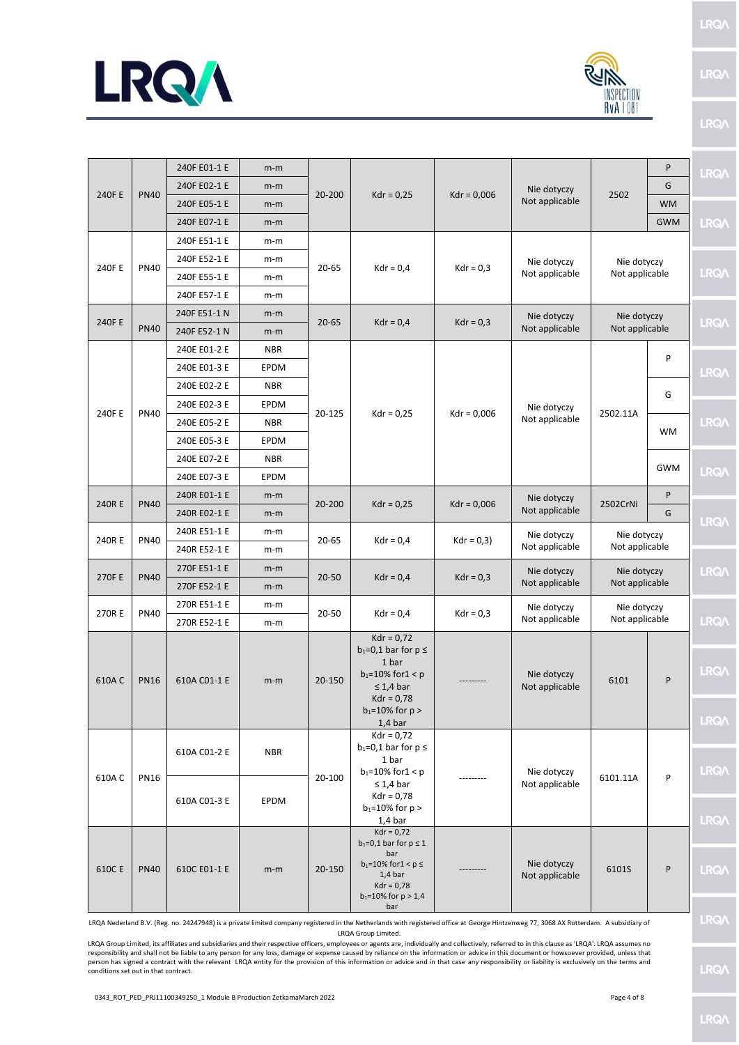



|        |              | 240F E01-1 E         | $m-m$       |                                                                       | $Kdr = 0,25$                                                                                                                                             | $Kdr = 0,006$  | Nie dotyczy<br>Not applicable | 2502           | P           | <b>LRQA</b>                |
|--------|--------------|----------------------|-------------|-----------------------------------------------------------------------|----------------------------------------------------------------------------------------------------------------------------------------------------------|----------------|-------------------------------|----------------|-------------|----------------------------|
| 240F E | <b>PN40</b>  | 240F E02-1 E         | $m-m$       | 20-200                                                                |                                                                                                                                                          |                |                               |                | G           |                            |
|        |              | 240F E05-1 E         | $m-m$       |                                                                       |                                                                                                                                                          |                |                               |                | <b>WM</b>   |                            |
|        |              | 240F E07-1 E         | $m-m$       |                                                                       |                                                                                                                                                          |                |                               |                | <b>GWM</b>  | <b>LRQA</b>                |
|        |              | 240F E51-1 E         | m-m         |                                                                       |                                                                                                                                                          |                |                               |                |             |                            |
| 240F E | <b>PN40</b>  | 240F E52-1 E         | m-m         | $20 - 65$                                                             |                                                                                                                                                          | $Kdr = 0.3$    | Nie dotyczy                   | Nie dotyczy    |             |                            |
|        |              | 240F E55-1 E         | m-m         |                                                                       | $Kdr = 0.4$                                                                                                                                              |                | Not applicable                | Not applicable |             | <b>LRQA</b>                |
|        |              | 240F E57-1 E         | m-m         |                                                                       |                                                                                                                                                          |                |                               |                |             |                            |
| 240F E |              | 240F E51-1 N         | $m-m$       | $20 - 65$                                                             | $Kdr = 0.4$                                                                                                                                              | $Kdr = 0,3$    | Nie dotyczy                   | Nie dotyczy    |             | <b>LRQA</b>                |
|        | <b>PN40</b>  | 240F E52-1 N         | $m-m$       |                                                                       |                                                                                                                                                          |                | Not applicable                | Not applicable |             |                            |
|        |              | 240E E01-2 E         | <b>NBR</b>  |                                                                       |                                                                                                                                                          |                |                               |                | P           |                            |
|        |              | 240E E01-3 E         | <b>EPDM</b> |                                                                       |                                                                                                                                                          |                |                               |                |             | <b>LRQA</b>                |
|        |              | 240E E02-2 E         | <b>NBR</b>  |                                                                       |                                                                                                                                                          |                |                               |                | G           |                            |
| 240F E | <b>PN40</b>  | 240E E02-3 E         | EPDM        | 20-125                                                                | $Kdr = 0.25$                                                                                                                                             |                | Nie dotyczy                   | 2502.11A       |             |                            |
|        |              | 240E E05-2 E         | <b>NBR</b>  |                                                                       |                                                                                                                                                          | $Kdr = 0,006$  | Not applicable                |                | <b>WM</b>   | <b>LRQA</b>                |
|        | 240E E05-3 E | <b>EPDM</b>          |             |                                                                       |                                                                                                                                                          |                |                               |                |             |                            |
|        |              | 240E E07-2 E         | <b>NBR</b>  |                                                                       |                                                                                                                                                          |                |                               |                | <b>GWM</b>  |                            |
|        |              | 240E E07-3 E         | <b>EPDM</b> |                                                                       |                                                                                                                                                          |                |                               |                |             | <b>LRQ/</b>                |
| 240R E | <b>PN40</b>  | 240R E01-1 E         | $m-m$       | 20-200                                                                | $Kdr = 0.25$                                                                                                                                             | $Kdr = 0,006$  | Nie dotyczy<br>Not applicable | 2502CrNi       | P           | <b>LRQA</b>                |
|        |              | 240R E02-1 E         | $m-m$       |                                                                       |                                                                                                                                                          |                |                               |                | G           |                            |
|        | <b>PN40</b>  | 240R E51-1 E         | $m-m$       | 20-65                                                                 | $Kdr = 0,4$                                                                                                                                              | $Kdr = 0,3$    | Nie dotyczy<br>Not applicable | Nie dotyczy    |             |                            |
| 240R E |              | 240R E52-1 E         | m-m         |                                                                       |                                                                                                                                                          |                |                               | Not applicable |             |                            |
| 270F E | <b>PN40</b>  | 270F E51-1 E         | $m-m$       | $20 - 50$                                                             | $Kdr = 0,4$                                                                                                                                              | $Kdr = 0,3$    | Nie dotyczy                   | Nie dotyczy    |             | <b>LRQA</b>                |
|        |              | 270F E52-1 E         | $m-m$       |                                                                       |                                                                                                                                                          |                | Not applicable                | Not applicable |             |                            |
| 270R E | <b>PN40</b>  | 270R E51-1 E         | m-m         | 20-50                                                                 | $Kdr = 0,4$                                                                                                                                              | $Kdr = 0,3$    | Nie dotyczy                   | Nie dotyczy    |             |                            |
|        |              | 270R E52-1 E         | m-m         |                                                                       |                                                                                                                                                          |                | Not applicable                | Not applicable |             | <b>LRQA</b>                |
| 610AC  | <b>PN16</b>  | 610A C01-1 E         | $m-m$       | 20-150                                                                | $Kdr = 0.72$<br>$b_1=0,1$ bar for $p \leq$<br>1 bar<br>$b_1 = 10\%$ for $1 < p$<br>$\leq 1,4$ bar<br>$Kdr = 0.78$<br>$b_1 = 10\%$ for $p >$<br>$1,4$ bar |                | Nie dotyczy<br>Not applicable | 6101           | P           | <b>LRQA</b><br><b>LRQ/</b> |
| 610AC  | <b>PN16</b>  | 610A CO1-2 E         | <b>NBR</b>  | 20-100                                                                | $Kdr = 0,72$<br>$b_1=0,1$ bar for $p \leq$<br>1 bar<br>$b_1 = 10\%$ for $1 < p$                                                                          |                | Nie dotyczy                   | 6101.11A       | P           | <b>LRQA</b>                |
|        |              | 610A C01-3 E<br>EPDM |             | $\leq 1,4$ bar<br>$Kdr = 0.78$<br>$b_1 = 10\%$ for $p >$<br>$1,4$ bar |                                                                                                                                                          | Not applicable |                               |                | <b>LRQA</b> |                            |
| 610C E | <b>PN40</b>  | 610C E01-1 E         | $m-m$       | 20-150                                                                | $Kdr = 0,72$<br>$b_1 = 0, 1$ bar for $p \le 1$<br>bar<br>$b_1 = 10\%$ for $1 < p \le$<br>$1,4$ bar<br>$Kdr = 0.78$<br>$b_1 = 10\%$ for $p > 1.4$<br>bar  |                | Nie dotyczy<br>Not applicable | 6101S          | P           | <b>LRQA</b>                |

LRQA Nederland B.V. (Reg. no. 24247948) is a private limited company registered in the Netherlands with registered office at George Hintzenweg 77, 3068 AX Rotterdam. A subsidiary of LRQA Group Limited.

LRQA Group Limited, its affiliates and subsidiaries and their respective officers, employees or agents are, individually and collectively, referred to in this clause as 'LRQA'. LRQA assumes no responsibility and shall not be liable to any person for any loss, damage or expense caused by reliance on the information or advice in this document or howsoever provided, unless that<br>person has signed a contract with the conditions set out in that contract.

LRQ/

LRQ/

LRQ/

LRQ/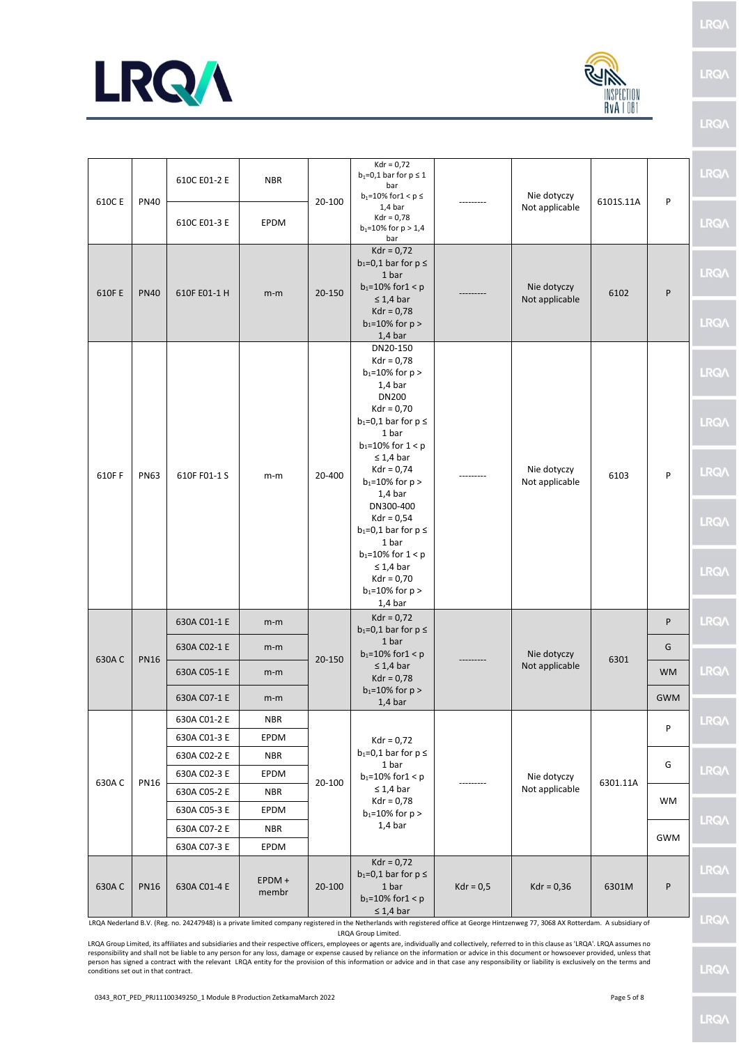

| al∦                       |
|---------------------------|
| INSPECTIO<br>$RvA$   $08$ |

**LRQA** 

LRQ/\

|                                 |             | 610C E01-2 E          | <b>NBR</b>     |                                | $Kdr = 0.72$<br>$b_1=0,1$ bar for $p \le 1$<br>bar<br>$b_1 = 10\%$ for $1 < p \le$                                                                          |                               | Nie dotyczy                   |           |                                   | <b>LRQA</b>  |  |  |   |  |
|---------------------------------|-------------|-----------------------|----------------|--------------------------------|-------------------------------------------------------------------------------------------------------------------------------------------------------------|-------------------------------|-------------------------------|-----------|-----------------------------------|--------------|--|--|---|--|
| 610C E                          | <b>PN40</b> | 610C E01-3 E          | EPDM           | 20-100                         | $1,4$ bar<br>$Kdr = 0.78$<br>$b_1 = 10\%$ for $p > 1.4$<br>bar                                                                                              |                               | Not applicable                | 6101S.11A | P                                 | <b>LRQA</b>  |  |  |   |  |
| 610F E                          | <b>PN40</b> | 610F E01-1 H          | $m-m$          | 20-150                         | $Kdr = 0,72$<br>$b_1=0,1$ bar for $p \leq$<br>1 bar<br>$b_1 = 10\%$ for $1 < p$<br>$\leq 1,4$ bar                                                           |                               | Nie dotyczy<br>Not applicable | 6102      | P                                 | <b>LRQA</b>  |  |  |   |  |
|                                 |             |                       |                |                                | $Kdr = 0.78$<br>$b_1 = 10\%$ for $p >$<br>$1,4$ bar                                                                                                         |                               |                               |           |                                   | <b>LRQA</b>  |  |  |   |  |
|                                 |             |                       |                |                                | DN20-150<br>$Kdr = 0.78$<br>$b_1 = 10\%$ for $p >$<br>$1,4$ bar<br><b>DN200</b>                                                                             |                               |                               |           |                                   | <b>LRQA</b>  |  |  |   |  |
|                                 |             |                       |                |                                | $Kdr = 0,70$<br>$b_1=0,1$ bar for $p \leq$<br>1 bar<br>$b_1 = 10\%$ for $1 < p$                                                                             |                               |                               |           |                                   | <b>LRQA</b>  |  |  |   |  |
| 610FF                           | <b>PN63</b> | 610F F01-1 S          | $m-m$          | 20-400                         | $\leq 1,4$ bar<br>$Kdr = 0.74$<br>$b_1 = 10\%$ for $p >$<br>$1,4$ bar                                                                                       |                               | Nie dotyczy<br>Not applicable | 6103      | P                                 | <b>LRQA</b>  |  |  |   |  |
|                                 |             |                       |                |                                | DN300-400<br>$Kdr = 0.54$<br>$b_1=0,1$ bar for $p \leq$<br>1 bar<br>$b_1 = 10\%$ for $1 < p$                                                                |                               |                               |           |                                   | <b>LRQA</b>  |  |  |   |  |
|                                 |             |                       |                |                                | $\leq 1.4$ bar<br>$Kdr = 0,70$<br>$b_1 = 10\%$ for $p >$<br>$1,4$ bar                                                                                       |                               |                               |           |                                   | <b>LRQA</b>  |  |  |   |  |
|                                 |             | 630A C01-1 E          | $m-m$          |                                | $Kdr = 0.72$<br>$b_1=0,1$ bar for $p \leq$                                                                                                                  |                               |                               |           | P                                 | <b>LRQA</b>  |  |  |   |  |
|                                 | <b>PN16</b> | 630A C02-1 E          | $m-m$          |                                |                                                                                                                                                             |                               |                               |           | 1 bar<br>$b_1 = 10\%$ for $1 < p$ |              |  |  | G |  |
| 630AC                           |             | 630A C05-1 E<br>$m-m$ | 20-150         | $\leq 1,4$ bar<br>$Kdr = 0.78$ |                                                                                                                                                             | Nie dotyczy<br>Not applicable | 6301                          | <b>WM</b> | <b>LRQA</b>                       |              |  |  |   |  |
|                                 |             | 630A C07-1 E          | $m-m$          |                                | $b_1 = 10\%$ for $p >$<br>$1,4$ bar                                                                                                                         |                               |                               |           | <b>GWM</b>                        |              |  |  |   |  |
|                                 |             | 630A C01-2 E          | <b>NBR</b>     |                                |                                                                                                                                                             |                               |                               |           | P                                 | <b>LRQ/\</b> |  |  |   |  |
|                                 |             | 630A C01-3 E          | EPDM           |                                | $Kdr = 0.72$                                                                                                                                                |                               |                               |           |                                   |              |  |  |   |  |
|                                 |             | 630A C02-2 E          | <b>NBR</b>     |                                | $b_1=0,1$ bar for $p \leq$<br>1 bar                                                                                                                         |                               |                               |           | G                                 |              |  |  |   |  |
| 630AC                           | <b>PN16</b> | 630A C02-3 E          | EPDM           | 20-100                         | $b_1 = 10\%$ for $1 < p$                                                                                                                                    |                               | Nie dotyczy                   | 6301.11A  |                                   | <b>LRQA</b>  |  |  |   |  |
|                                 |             | 630A C05-2 E          | <b>NBR</b>     |                                | $\leq 1.4$ bar<br>$Kdr = 0.78$                                                                                                                              |                               | Not applicable                |           | <b>WM</b>                         |              |  |  |   |  |
|                                 |             | 630A C05-3 E          | EPDM           |                                | $b_1 = 10\%$ for $p >$<br>$1.4b$ ar                                                                                                                         |                               |                               |           |                                   | <b>LRQA</b>  |  |  |   |  |
|                                 |             | 630A C07-2 E          | <b>NBR</b>     |                                |                                                                                                                                                             |                               |                               |           | <b>GWM</b>                        |              |  |  |   |  |
|                                 |             | 630A C07-3 E          | EPDM           |                                | $Kdr = 0.72$                                                                                                                                                |                               |                               |           |                                   |              |  |  |   |  |
| 630A C                          | <b>PN16</b> | 630A C01-4 E          | EPDM+<br>membr | 20-100                         | $b_1=0,1$ bar for $p \leq$<br>1 bar<br>$b_1 = 10\%$ for $1 < p$<br>$\leq 1.4$ bar                                                                           | $Kdr = 0.5$                   | $Kdr = 0,36$                  | 6301M     | P                                 | <b>LRQA</b>  |  |  |   |  |
| <b>IDOA Nederland B.V. (Per</b> |             |                       |                |                                | no 24247948) is a private limited company registered in the Netherlands with registered office at George Hintzenweg 77, 3068, AV Potterdam, A subsidiary of |                               |                               |           |                                   |              |  |  |   |  |

LRQA Nederland B.V. (Reg. no. 24247948) is a private limited company registered in the Netherlands with registered office at George Hintzenweg 77, 3068 AX Rotterdam. A subsidiary of LRQA Group Limited.

LRQA Group Limited, its affiliates and subsidiaries and their respective officers, employees or agents are, individually and collectively, referred to in this clause as 'LRQA'. LRQA assumes no responsibility and shall not be liable to any person for any loss, damage or expense caused by reliance on the information or advice in this document or howsoever provided, unless that<br>person has signed a contract with the conditions set out in that contract.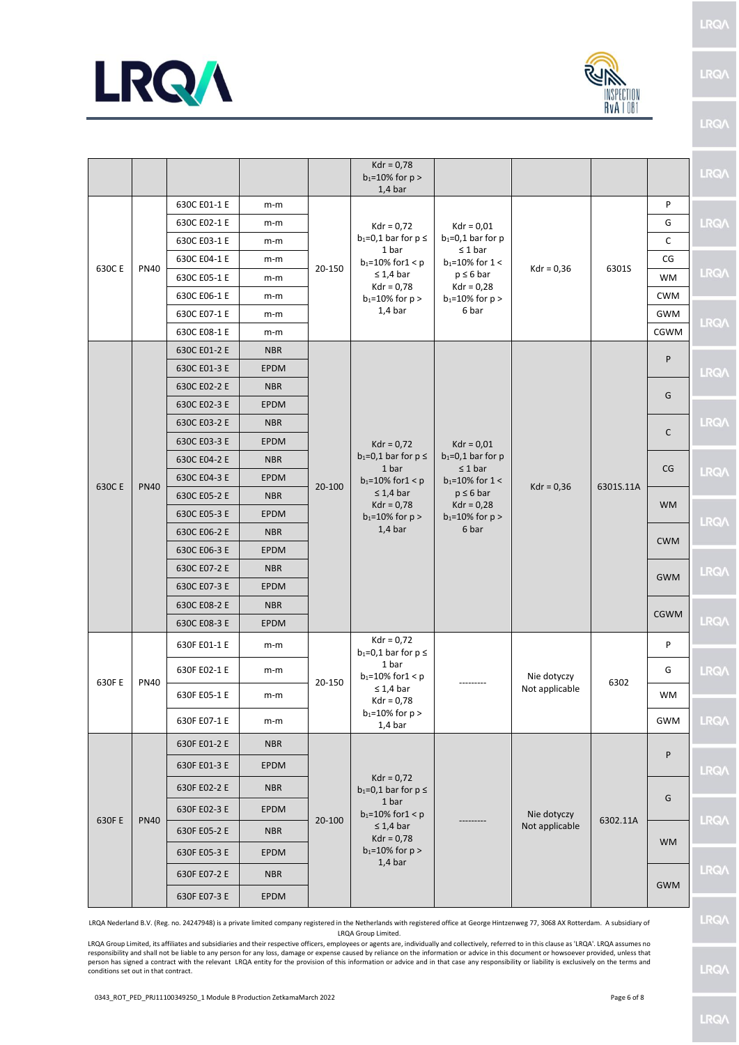



LRQ/\

|                                                                                                                                                                                       |             |              |             |        | $Kdr = 0.78$<br>$b_1 = 10\%$ for $p >$<br>$1,4$ bar                                                                                                      |                                                                                                                                                  |                                            |           |              | <b>LRQA</b>  |   |  |
|---------------------------------------------------------------------------------------------------------------------------------------------------------------------------------------|-------------|--------------|-------------|--------|----------------------------------------------------------------------------------------------------------------------------------------------------------|--------------------------------------------------------------------------------------------------------------------------------------------------|--------------------------------------------|-----------|--------------|--------------|---|--|
| 630C E                                                                                                                                                                                |             | 630C E01-1 E | $m-m$       |        |                                                                                                                                                          |                                                                                                                                                  |                                            |           | P            |              |   |  |
|                                                                                                                                                                                       |             | 630C E02-1 E | $m-m$       |        | $Kdr = 0.72$                                                                                                                                             | $Kdr = 0.01$                                                                                                                                     |                                            |           | G            | <b>LRQA</b>  |   |  |
|                                                                                                                                                                                       |             | 630C E03-1 E | $m-m$       |        | $b_1=0,1$ bar for $p \leq$<br>1 bar                                                                                                                      | $b_1=0.1$ bar for p<br>$\leq 1$ bar                                                                                                              |                                            |           | $\mathsf C$  |              |   |  |
|                                                                                                                                                                                       | <b>PN40</b> | 630C E04-1 E | m-m         | 20-150 | $b_1 = 10\%$ for $1 < p$                                                                                                                                 | $b_1 = 10\%$ for 1 <                                                                                                                             | $Kdr = 0,36$                               | 6301S     | CG           |              |   |  |
|                                                                                                                                                                                       |             | 630C E05-1 E | m-m         |        | $\leq 1,4$ bar<br>$Kdr = 0.78$                                                                                                                           | $p \leq 6$ bar<br>$Kdr = 0,28$                                                                                                                   |                                            |           | <b>WM</b>    | <b>LRQ/\</b> |   |  |
|                                                                                                                                                                                       |             | 630C E06-1 E | m-m         |        | $b_1 = 10\%$ for $p >$                                                                                                                                   | $b_1 = 10\%$ for $p >$                                                                                                                           |                                            |           | <b>CWM</b>   |              |   |  |
|                                                                                                                                                                                       |             | 630C E07-1 E | $m-m$       |        | $1,4$ bar                                                                                                                                                | 6 bar                                                                                                                                            |                                            |           | <b>GWM</b>   | <b>LRQA</b>  |   |  |
|                                                                                                                                                                                       |             | 630C E08-1 E | m-m         |        |                                                                                                                                                          |                                                                                                                                                  |                                            |           | CGWM         |              |   |  |
|                                                                                                                                                                                       |             | 630C E01-2 E | <b>NBR</b>  |        |                                                                                                                                                          |                                                                                                                                                  |                                            |           | P            |              |   |  |
|                                                                                                                                                                                       |             | 630C E01-3 E | <b>EPDM</b> |        |                                                                                                                                                          |                                                                                                                                                  |                                            |           |              | <b>LRQA</b>  |   |  |
|                                                                                                                                                                                       |             | 630C E02-2 E | <b>NBR</b>  |        |                                                                                                                                                          |                                                                                                                                                  |                                            |           | G            |              |   |  |
|                                                                                                                                                                                       |             | 630C E02-3 E | <b>EPDM</b> |        | $Kdr = 0.72$<br>$b_1=0,1$ bar for $p \leq$<br>1 bar<br>$b_1 = 10\%$ for $1 < p$<br>$\leq 1.4$ bar<br>$Kdr = 0.78$<br>$b_1 = 10\%$ for $p >$<br>$1,4$ bar | $Kdr = 0.01$<br>$b_1=0,1$ bar for p<br>$\leq 1$ bar<br>$b_1 = 10\%$ for 1 <<br>$p \leq 6$ bar<br>$Kdr = 0,28$<br>$b_1 = 10\%$ for $p >$<br>6 bar | $Kdr = 0,36$                               | 6301S.11A |              |              |   |  |
|                                                                                                                                                                                       |             | 630C E03-2 E | <b>NBR</b>  |        |                                                                                                                                                          |                                                                                                                                                  |                                            |           | $\mathsf{C}$ | <b>LRQA</b>  |   |  |
|                                                                                                                                                                                       |             | 630C E03-3 E | <b>EPDM</b> | 20-100 |                                                                                                                                                          |                                                                                                                                                  |                                            |           |              |              |   |  |
| 630C E                                                                                                                                                                                | <b>PN40</b> | 630C E04-2 E | <b>NBR</b>  |        |                                                                                                                                                          |                                                                                                                                                  |                                            |           | CG           |              |   |  |
|                                                                                                                                                                                       |             | 630C E04-3 E | <b>EPDM</b> |        |                                                                                                                                                          |                                                                                                                                                  |                                            |           |              | <b>LRQA</b>  |   |  |
|                                                                                                                                                                                       |             | 630C E05-2 E | <b>NBR</b>  |        |                                                                                                                                                          |                                                                                                                                                  |                                            |           | <b>WM</b>    |              |   |  |
|                                                                                                                                                                                       |             | 630C E05-3 E | <b>EPDM</b> |        |                                                                                                                                                          |                                                                                                                                                  |                                            |           |              | <b>LRQA</b>  |   |  |
|                                                                                                                                                                                       |             | 630C E06-2 E | <b>NBR</b>  |        |                                                                                                                                                          |                                                                                                                                                  |                                            |           | <b>CWM</b>   |              |   |  |
|                                                                                                                                                                                       |             | 630C E06-3 E | <b>EPDM</b> |        |                                                                                                                                                          |                                                                                                                                                  |                                            |           |              |              |   |  |
|                                                                                                                                                                                       |             | 630C E07-2 E | <b>NBR</b>  |        |                                                                                                                                                          |                                                                                                                                                  |                                            |           | <b>GWM</b>   | <b>LRQA</b>  |   |  |
|                                                                                                                                                                                       |             | 630C E07-3 E | <b>EPDM</b> |        |                                                                                                                                                          |                                                                                                                                                  |                                            |           |              |              |   |  |
|                                                                                                                                                                                       |             | 630C E08-2 E | <b>NBR</b>  |        |                                                                                                                                                          |                                                                                                                                                  |                                            |           | <b>CGWM</b>  |              |   |  |
|                                                                                                                                                                                       |             | 630C E08-3 E | <b>EPDM</b> |        |                                                                                                                                                          |                                                                                                                                                  |                                            |           |              | <b>LRQA</b>  |   |  |
|                                                                                                                                                                                       |             | 630F E01-1 E | m-m         | 20-150 |                                                                                                                                                          |                                                                                                                                                  | $Kdr = 0.72$<br>$b_1=0,1$ bar for $p \leq$ |           |              |              | P |  |
|                                                                                                                                                                                       |             | 630F E02-1 E | m-m         |        | 1 bar<br>$b_1 = 10\%$ for $1 < p$<br>$\leq 1.4$ bar<br>$Kdr = 0.78$<br>$b_1 = 10\%$ for $p >$<br>$1,4$ bar                                               |                                                                                                                                                  | Nie dotyczy<br>Not applicable              | 6302      | G            | <b>LRQA</b>  |   |  |
| 630F E                                                                                                                                                                                | <b>PN40</b> | 630F E05-1 E | $m-m$       |        |                                                                                                                                                          |                                                                                                                                                  |                                            |           | <b>WM</b>    |              |   |  |
|                                                                                                                                                                                       |             | 630F E07-1 E | m-m         |        |                                                                                                                                                          |                                                                                                                                                  |                                            |           | <b>GWM</b>   | LRQ/\        |   |  |
|                                                                                                                                                                                       |             | 630F E01-2 E | <b>NBR</b>  |        |                                                                                                                                                          |                                                                                                                                                  |                                            |           |              |              |   |  |
|                                                                                                                                                                                       |             | 630F E01-3 E | <b>EPDM</b> |        | $Kdr = 0.72$                                                                                                                                             |                                                                                                                                                  |                                            |           | P            | <b>LRQA</b>  |   |  |
|                                                                                                                                                                                       |             | 630F E02-2 E | <b>NBR</b>  |        | $b_1=0,1$ bar for $p \leq$                                                                                                                               |                                                                                                                                                  |                                            |           |              |              |   |  |
|                                                                                                                                                                                       |             | 630F E02-3 E | <b>EPDM</b> |        | 1 bar<br>$b_1 = 10\%$ for $1 < p$                                                                                                                        |                                                                                                                                                  | Nie dotyczy                                |           | G            |              |   |  |
| 630F E                                                                                                                                                                                | <b>PN40</b> | 630F E05-2 E | <b>NBR</b>  | 20-100 | $\leq 1.4$ bar<br>$Kdr = 0,78$                                                                                                                           |                                                                                                                                                  | Not applicable                             | 6302.11A  |              | <b>LRQA</b>  |   |  |
|                                                                                                                                                                                       |             | 630F E05-3 E | <b>EPDM</b> |        | $b_1 = 10\%$ for $p >$<br>$1,4$ bar                                                                                                                      |                                                                                                                                                  |                                            |           | <b>WM</b>    |              |   |  |
|                                                                                                                                                                                       |             | 630F E07-2 E | <b>NBR</b>  |        |                                                                                                                                                          |                                                                                                                                                  |                                            |           |              | <b>LRQA</b>  |   |  |
|                                                                                                                                                                                       |             | 630F E07-3 E | EPDM        |        |                                                                                                                                                          |                                                                                                                                                  |                                            |           | <b>GWM</b>   |              |   |  |
| LRQA Nederland B.V. (Reg. no. 24247948) is a private limited company registered in the Netherlands with registered office at George Hintzenweg 77, 3068 AX Rotterdam. A subsidiary of |             |              |             |        |                                                                                                                                                          |                                                                                                                                                  |                                            |           |              | <b>LRQA</b>  |   |  |

LRQA Nederland B.V. (Reg. no. 24247948) is a private limited company registered in the Netherlands with registered office at George Hintzenweg 77, 3068 AX Rotterdam. A subsidiary of LRQA Group Limited.

LRQA Group Limited, its affiliates and subsidiaries and their respective officers, employees or agents are, individually and collectively, referred to in this clause as 'LRQA'. LRQA assumes no responsibility and shall not be liable to any person for any loss, damage or expense caused by reliance on the information or advice in this document or howsoever provided, unless that<br>person has signed a contract with the conditions set out in that contract.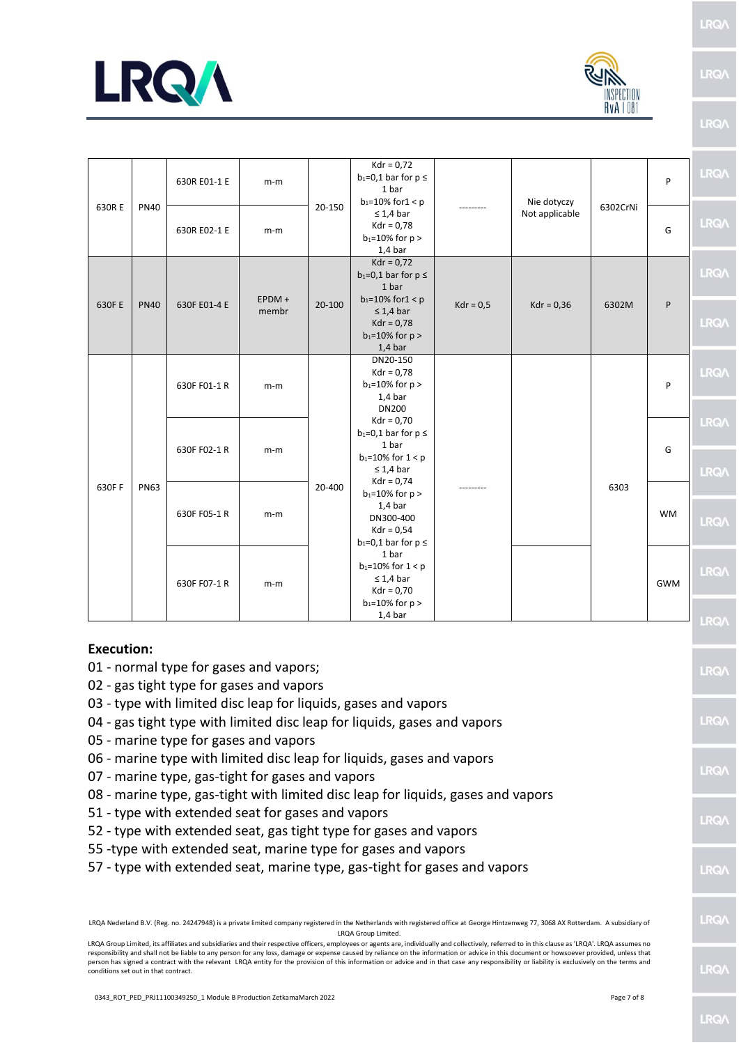



LRQ/

LRQ/

LRQ/

| 630R E                                                                                                                                                 |             | 630R E01-1 E | m-m               |            | $Kdr = 0,72$<br>$b_1=0,1$ bar for $p \leq$<br>1 bar<br>$b_1 = 10\%$ for $1 < p$                                                                                                                                   |             | Nie dotyczy<br>Not applicable | 6302CrNi | P          | <b>LRQA</b>                |
|--------------------------------------------------------------------------------------------------------------------------------------------------------|-------------|--------------|-------------------|------------|-------------------------------------------------------------------------------------------------------------------------------------------------------------------------------------------------------------------|-------------|-------------------------------|----------|------------|----------------------------|
|                                                                                                                                                        | <b>PN40</b> | 630R E02-1 E | m-m               | 20-150     | $\leq 1.4$ bar<br>$Kdr = 0.78$<br>$b_1 = 10\%$ for $p >$<br>$1,4$ bar                                                                                                                                             |             |                               |          | G          | LRQ/\                      |
| 630F E                                                                                                                                                 | <b>PN40</b> | 630F E01-4 E | $EPDM +$<br>membr | $20 - 100$ | $Kdr = 0.72$<br>$b_1=0,1$ bar for $p \leq$<br>1 bar<br>$b_1 = 10\%$ for $1 < p$<br>$\leq 1.4$ bar<br>$Kdr = 0.78$<br>$b_1 = 10\%$ for $p >$                                                                       | $Kdr = 0.5$ | $Kdr = 0,36$                  | 6302M    | ${\sf P}$  | <b>LRQA</b><br><b>LRQA</b> |
|                                                                                                                                                        | <b>PN63</b> | 630F F01-1 R | m-m               | 20-400     | $1,4$ bar<br>DN20-150<br>$Kdr = 0,78$<br>$b_1 = 10\%$ for $p >$<br>$1.4b$ ar<br><b>DN200</b><br>$Kdr = 0,70$<br>$b_1=0,1$ bar for $p \leq$<br>1 bar<br>$b_1 = 10\%$ for $1 < p$<br>$\leq 1.4$ bar<br>$Kdr = 0.74$ |             |                               | 6303     | P          | <b>LRQA</b>                |
|                                                                                                                                                        |             | 630F F02-1 R | m-m               |            |                                                                                                                                                                                                                   |             |                               |          | G          | <b>LRQA</b><br>LRQ/\       |
| 630F F                                                                                                                                                 |             | 630F F05-1 R | m-m               |            | $b_1 = 10\%$ for $p >$<br>$1,4$ bar<br>DN300-400<br>$Kdr = 0,54$<br>$b_1=0,1$ bar for $p \leq$                                                                                                                    |             |                               |          | <b>WM</b>  | <b>LRQA</b>                |
|                                                                                                                                                        |             | 630F F07-1 R | m-m               |            | 1 bar<br>$b_1 = 10\%$ for $1 < p$<br>$\leq 1.4$ bar<br>$Kdr = 0,70$<br>$b_1 = 10\%$ for $p >$                                                                                                                     |             |                               |          | <b>GWM</b> | <b>LRQA</b>                |
|                                                                                                                                                        |             |              |                   |            | $1,4$ bar                                                                                                                                                                                                         |             |                               |          |            | <b>LRQA</b>                |
| <b>Execution:</b><br>01 - normal type for gases and vapors;<br>02 - gas tight type for gases and vapors                                                |             |              |                   |            |                                                                                                                                                                                                                   |             |                               |          |            | <b>LRQA</b>                |
| 03 - type with limited disc leap for liquids, gases and vapors<br>04 - gas tight type with limited disc leap for liquids, gases and vapors<br>$\Omega$ |             |              |                   |            |                                                                                                                                                                                                                   |             |                               |          |            | <b>LRQA</b>                |

- 05 marine type for gases and vapors
- 06 marine type with limited disc leap for liquids, gases and vapors
- 07 marine type, gas-tight for gases and vapors
- 08 marine type, gas-tight with limited disc leap for liquids, gases and vapors
- 51 type with extended seat for gases and vapors
- 52 type with extended seat, gas tight type for gases and vapors
- 55 -type with extended seat, marine type for gases and vapors
- 57 type with extended seat, marine type, gas-tight for gases and vapors

LRQA Nederland B.V. (Reg. no. 24247948) is a private limited company registered in the Netherlands with registered office at George Hintzenweg 77, 3068 AX Rotterdam. A subsidiary of LRQA Group Limited.

LRQA Group Limited, its affiliates and subsidiaries and their respective officers, employees or agents are, individually and collectively, referred to in this clause as 'LRQA'. LRQA assumes no responsibility and shall not be liable to any person for any loss, damage or expense caused by reliance on the information or advice in this document or howsoever provided, unless that person has signed a contract with the relevant LRQA entity for the provision of this information or advice and in that case any responsibility or liability is exclusively on the terms and conditions set out in that contract.

LRQ/

**LRO** 

**LRO** 

LRQ